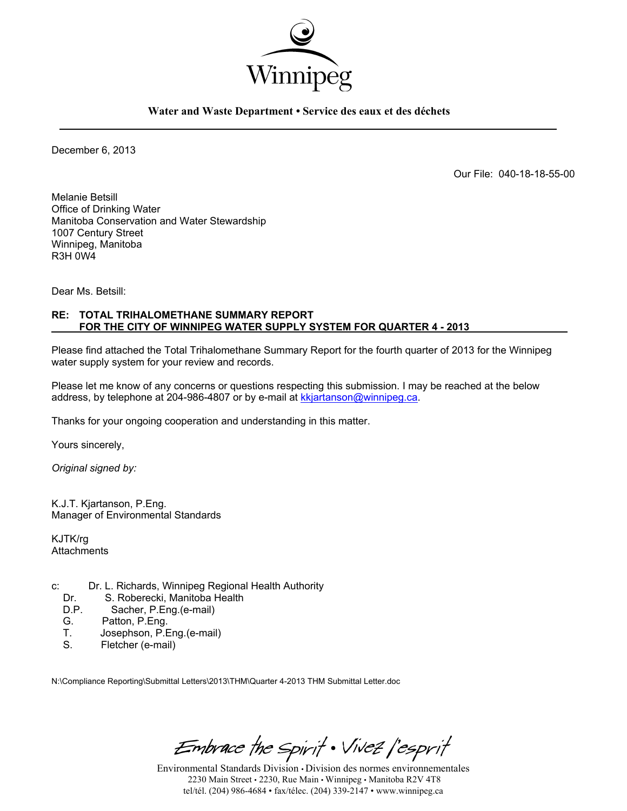

**Water and Waste Department • Service des eaux et des déchets** 

December 6, 2013

Our File: 040-18-18-55-00

Melanie Betsill Office of Drinking Water Manitoba Conservation and Water Stewardship 1007 Century Street Winnipeg, Manitoba R3H 0W4

Dear Ms. Betsill:

#### **RE: TOTAL TRIHALOMETHANE SUMMARY REPORT FOR THE CITY OF WINNIPEG WATER SUPPLY SYSTEM FOR QUARTER 4 - 2013**

Please find attached the Total Trihalomethane Summary Report for the fourth quarter of 2013 for the Winnipeg water supply system for your review and records.

Please let me know of any concerns or questions respecting this submission. I may be reached at the below address, by telephone at 204-986-4807 or by e-mail at kkjartanson@winnipeg.ca.

Thanks for your ongoing cooperation and understanding in this matter.

Yours sincerely,

*Original signed by:* 

K.J.T. Kjartanson, P.Eng. Manager of Environmental Standards

KJTK/rg **Attachments** 

- c: Dr. L. Richards, Winnipeg Regional Health Authority
	- Dr. S. Roberecki, Manitoba Health<br>D.P. Sacher. P. Eng. (e-mail)
	- Sacher, P.Eng.(e-mail)
	- G. Patton, P.Eng.<br>T. Josephson, P.F.
	- T. Josephson, P.Eng.(e-mail)<br>S. Fletcher (e-mail)
	- Fletcher (e-mail)

N:\Compliance Reporting\Submittal Letters\2013\THM\Quarter 4-2013 THM Submittal Letter.doc

Embrace the Spirit . Vivez l'esprit

Environmental Standards Division • Division des normes environnementales 2230 Main Street • 2230, Rue Main • Winnipeg • Manitoba R2V 4T8 tel/tél. (204) 986-4684 • fax/télec. (204) 339-2147 • www.winnipeg.ca